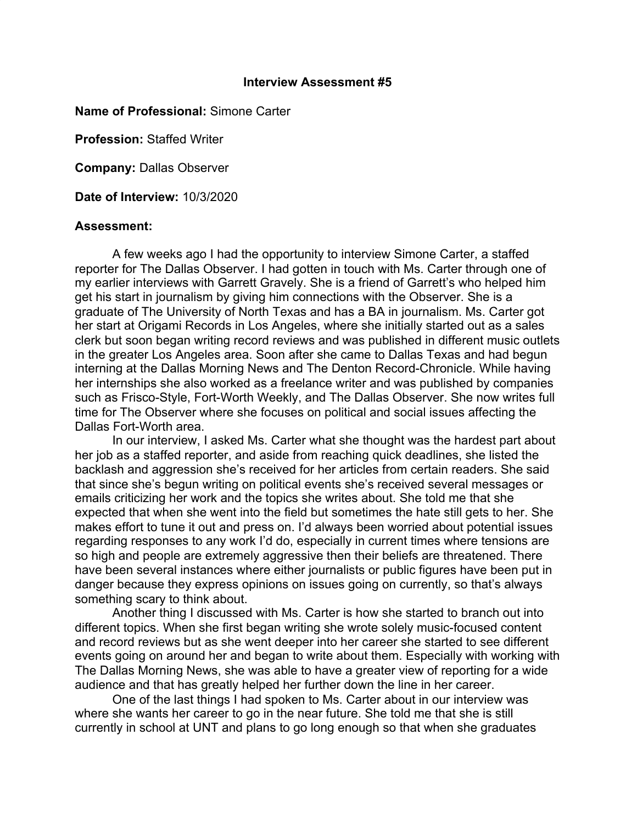## **Interview Assessment #5**

**Name of Professional:** Simone Carter

**Profession:** Staffed Writer

**Company:** Dallas Observer

**Date of Interview:** 10/3/2020

## **Assessment:**

A few weeks ago I had the opportunity to interview Simone Carter, a staffed reporter for The Dallas Observer. I had gotten in touch with Ms. Carter through one of my earlier interviews with Garrett Gravely. She is a friend of Garrett's who helped him get his start in journalism by giving him connections with the Observer. She is a graduate of The University of North Texas and has a BA in journalism. Ms. Carter got her start at Origami Records in Los Angeles, where she initially started out as a sales clerk but soon began writing record reviews and was published in different music outlets in the greater Los Angeles area. Soon after she came to Dallas Texas and had begun interning at the Dallas Morning News and The Denton Record-Chronicle. While having her internships she also worked as a freelance writer and was published by companies such as Frisco-Style, Fort-Worth Weekly, and The Dallas Observer. She now writes full time for The Observer where she focuses on political and social issues affecting the Dallas Fort-Worth area.

In our interview, I asked Ms. Carter what she thought was the hardest part about her job as a staffed reporter, and aside from reaching quick deadlines, she listed the backlash and aggression she's received for her articles from certain readers. She said that since she's begun writing on political events she's received several messages or emails criticizing her work and the topics she writes about. She told me that she expected that when she went into the field but sometimes the hate still gets to her. She makes effort to tune it out and press on. I'd always been worried about potential issues regarding responses to any work I'd do, especially in current times where tensions are so high and people are extremely aggressive then their beliefs are threatened. There have been several instances where either journalists or public figures have been put in danger because they express opinions on issues going on currently, so that's always something scary to think about.

Another thing I discussed with Ms. Carter is how she started to branch out into different topics. When she first began writing she wrote solely music-focused content and record reviews but as she went deeper into her career she started to see different events going on around her and began to write about them. Especially with working with The Dallas Morning News, she was able to have a greater view of reporting for a wide audience and that has greatly helped her further down the line in her career.

One of the last things I had spoken to Ms. Carter about in our interview was where she wants her career to go in the near future. She told me that she is still currently in school at UNT and plans to go long enough so that when she graduates